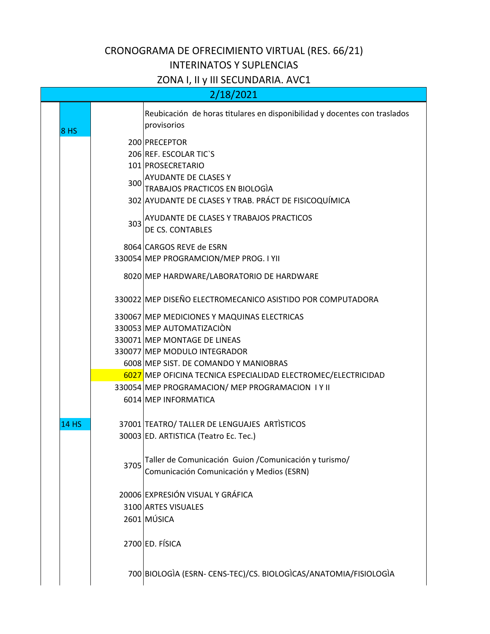## CRONOGRAMA DE OFRECIMIENTO VIRTUAL (RES. 66/21) INTERINATOS Y SUPLENCIAS

## ZONA I, II y III SECUNDARIA. AVC1

| 2/18/2021    |      |                                                                                                                                                                                 |
|--------------|------|---------------------------------------------------------------------------------------------------------------------------------------------------------------------------------|
| <b>8 HS</b>  |      | Reubicación de horas titulares en disponibilidad y docentes con traslados<br>provisorios                                                                                        |
|              | 300  | 200 PRECEPTOR<br>206 REF. ESCOLAR TIC'S<br>101 PROSECRETARIO<br>AYUDANTE DE CLASES Y<br>TRABAJOS PRACTICOS EN BIOLOGIA<br>302 AYUDANTE DE CLASES Y TRAB. PRÁCT DE FISICOQUÍMICA |
|              | 303  | AYUDANTE DE CLASES Y TRABAJOS PRACTICOS<br>DE CS. CONTABLES                                                                                                                     |
|              |      | 8064 CARGOS REVE de ESRN<br>330054 MEP PROGRAMCION/MEP PROG. I YII                                                                                                              |
|              |      | 8020 MEP HARDWARE/LABORATORIO DE HARDWARE                                                                                                                                       |
|              |      | 330022 MEP DISEÑO ELECTROMECANICO ASISTIDO POR COMPUTADORA                                                                                                                      |
|              |      | 330067 MEP MEDICIONES Y MAQUINAS ELECTRICAS                                                                                                                                     |
|              |      | 330053 MEP AUTOMATIZACIÓN                                                                                                                                                       |
|              |      | 330071 MEP MONTAGE DE LINEAS                                                                                                                                                    |
|              |      | 330077 MEP MODULO INTEGRADOR                                                                                                                                                    |
|              |      | 6008 MEP SIST. DE COMANDO Y MANIOBRAS                                                                                                                                           |
|              |      | 6027 MEP OFICINA TECNICA ESPECIALIDAD ELECTROMEC/ELECTRICIDAD                                                                                                                   |
|              |      | 330054 MEP PROGRAMACION/ MEP PROGRAMACION IY II                                                                                                                                 |
|              |      | 6014 MEP INFORMATICA                                                                                                                                                            |
| <b>14 HS</b> |      | 37001 TEATRO/ TALLER DE LENGUAJES ARTISTICOS                                                                                                                                    |
|              |      | 30003 ED. ARTISTICA (Teatro Ec. Tec.)                                                                                                                                           |
|              | 3705 | Taller de Comunicación Guion / Comunicación y turismo/                                                                                                                          |
|              |      | Comunicación Comunicación y Medios (ESRN)                                                                                                                                       |
|              |      | 20006 EXPRESIÓN VISUAL Y GRÁFICA                                                                                                                                                |
|              |      | 3100 ARTES VISUALES                                                                                                                                                             |
|              |      | 2601 MÚSICA                                                                                                                                                                     |
|              |      | 2700 ED. FÍSICA                                                                                                                                                                 |
|              |      | 700 BIOLOGIA (ESRN- CENS-TEC)/CS. BIOLOGICAS/ANATOMIA/FISIOLOGIA                                                                                                                |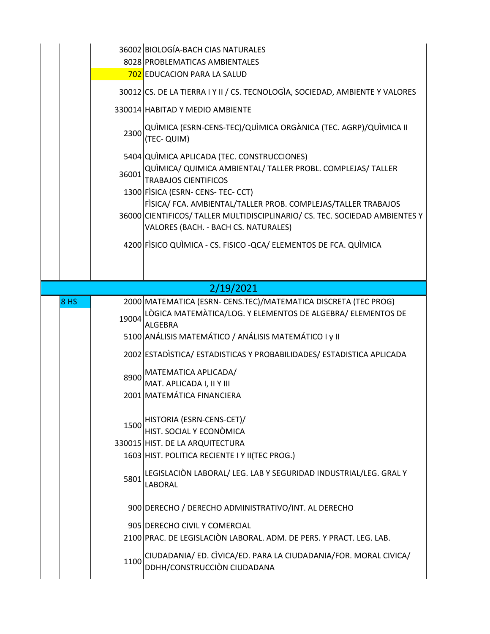|             | 2300<br>36001 | 36002 BIOLOGÍA-BACH CIAS NATURALES<br>8028 PROBLEMATICAS AMBIENTALES<br>702 EDUCACION PARA LA SALUD<br>30012 CS. DE LA TIERRA I Y II / CS. TECNOLOGIA, SOCIEDAD, AMBIENTE Y VALORES<br>330014 HABITAD Y MEDIO AMBIENTE<br>QUÌMICA (ESRN-CENS-TEC)/QUÌMICA ORGÀNICA (TEC. AGRP)/QUÌMICA II<br>(TEC- QUIM)<br>5404 QUIMICA APLICADA (TEC. CONSTRUCCIONES)<br>QUÌMICA/ QUIMICA AMBIENTAL/ TALLER PROBL. COMPLEJAS/ TALLER<br><b>TRABAJOS CIENTIFICOS</b><br>1300 FISICA (ESRN- CENS- TEC- CCT)<br>FISICA/ FCA. AMBIENTAL/TALLER PROB. COMPLEJAS/TALLER TRABAJOS<br>36000 CIENTIFICOS/ TALLER MULTIDISCIPLINARIO/ CS. TEC. SOCIEDAD AMBIENTES Y<br>VALORES (BACH. - BACH CS. NATURALES) |
|-------------|---------------|-------------------------------------------------------------------------------------------------------------------------------------------------------------------------------------------------------------------------------------------------------------------------------------------------------------------------------------------------------------------------------------------------------------------------------------------------------------------------------------------------------------------------------------------------------------------------------------------------------------------------------------------------------------------------------------|
|             |               | 4200 FISICO QUIMICA - CS. FISICO - QCA/ ELEMENTOS DE FCA. QUIMICA                                                                                                                                                                                                                                                                                                                                                                                                                                                                                                                                                                                                                   |
|             |               | 2/19/2021                                                                                                                                                                                                                                                                                                                                                                                                                                                                                                                                                                                                                                                                           |
| <b>8 HS</b> |               | 2000 MATEMATICA (ESRN- CENS.TEC)/MATEMATICA DISCRETA (TEC PROG)                                                                                                                                                                                                                                                                                                                                                                                                                                                                                                                                                                                                                     |
|             | 19004         | LÒGICA MATEMÀTICA/LOG. Y ELEMENTOS DE ALGEBRA/ ELEMENTOS DE<br><b>ALGEBRA</b>                                                                                                                                                                                                                                                                                                                                                                                                                                                                                                                                                                                                       |
|             |               | 5100 ANÁLISIS MATEMÁTICO / ANÁLISIS MATEMÁTICO I y II                                                                                                                                                                                                                                                                                                                                                                                                                                                                                                                                                                                                                               |
|             |               |                                                                                                                                                                                                                                                                                                                                                                                                                                                                                                                                                                                                                                                                                     |
|             | 8900          | 2002 ESTADISTICA/ ESTADISTICAS Y PROBABILIDADES/ ESTADISTICA APLICADA<br>MATEMATICA APLICADA/<br>MAT. APLICADA I, II Y III<br>2001 MATEMÁTICA FINANCIERA                                                                                                                                                                                                                                                                                                                                                                                                                                                                                                                            |
|             | 1500          | HISTORIA (ESRN-CENS-CET)/<br>HIST. SOCIAL Y ECONÒMICA<br>330015 HIST. DE LA ARQUITECTURA<br>1603 HIST. POLITICA RECIENTE I Y II(TEC PROG.)                                                                                                                                                                                                                                                                                                                                                                                                                                                                                                                                          |
|             | 5801          | LEGISLACIÒN LABORAL/ LEG. LAB Y SEGURIDAD INDUSTRIAL/LEG. GRAL Y<br>LABORAL                                                                                                                                                                                                                                                                                                                                                                                                                                                                                                                                                                                                         |
|             |               | 900 DERECHO / DERECHO ADMINISTRATIVO/INT. AL DERECHO                                                                                                                                                                                                                                                                                                                                                                                                                                                                                                                                                                                                                                |
|             |               | 905 DERECHO CIVIL Y COMERCIAL<br>2100 PRAC. DE LEGISLACIÒN LABORAL. ADM. DE PERS. Y PRACT. LEG. LAB.                                                                                                                                                                                                                                                                                                                                                                                                                                                                                                                                                                                |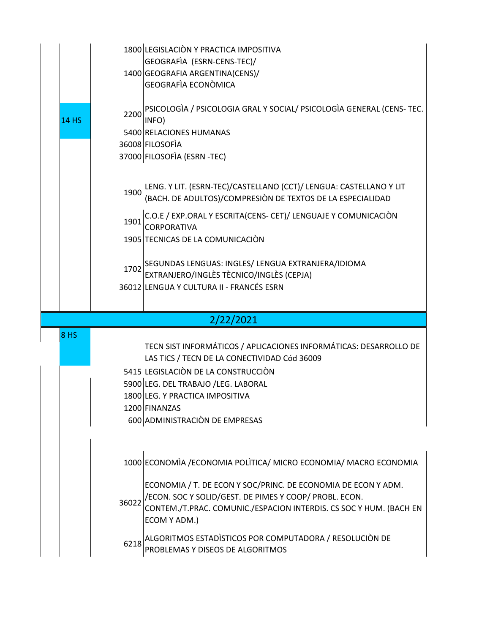| <b>14 HS</b>    | 2200         | 1800 LEGISLACIÓN Y PRACTICA IMPOSITIVA<br>GEOGRAFIA (ESRN-CENS-TEC)/<br>1400 GEOGRAFIA ARGENTINA(CENS)/<br><b>GEOGRAFÍA ECONÒMICA</b><br>PSICOLOGIA / PSICOLOGIA GRAL Y SOCIAL/ PSICOLOGIA GENERAL (CENS- TEC.<br>INFO)<br>5400 RELACIONES HUMANAS<br>36008 FILOSOFIA<br>37000 FILOSOFIA (ESRN-TEC)<br>LENG. Y LIT. (ESRN-TEC)/CASTELLANO (CCT)/ LENGUA: CASTELLANO Y LIT |
|-----------------|--------------|---------------------------------------------------------------------------------------------------------------------------------------------------------------------------------------------------------------------------------------------------------------------------------------------------------------------------------------------------------------------------|
|                 | 1900<br>1901 | (BACH. DE ADULTOS)/COMPRESIÒN DE TEXTOS DE LA ESPECIALIDAD<br>C.O.E / EXP.ORAL Y ESCRITA(CENS- CET)/ LENGUAJE Y COMUNICACIÒN<br>CORPORATIVA<br>1905 TECNICAS DE LA COMUNICACIÓN                                                                                                                                                                                           |
|                 |              | 1702 SEGUNDAS LENGUAS: INGLES/ LENGUA EXTRANJERA/IDIOMA<br>EXTRANJERO/INGLÈS TÈCNICO/INGLÈS (CEPJA)<br>36012 LENGUA Y CULTURA II - FRANCÉS ESRN                                                                                                                                                                                                                           |
|                 |              | 2/22/2021                                                                                                                                                                                                                                                                                                                                                                 |
| 8 <sub>HS</sub> |              | TECN SIST INFORMÁTICOS / APLICACIONES INFORMÁTICAS: DESARROLLO DE<br>LAS TICS / TECN DE LA CONECTIVIDAD Cód 36009<br>5415 LEGISLACIÒN DE LA CONSTRUCCIÒN<br>5900 LEG. DEL TRABAJO /LEG. LABORAL<br>1800 LEG. Y PRACTICA IMPOSITIVA<br>1200 FINANZAS<br>600 ADMINISTRACIÓN DE EMPRESAS                                                                                     |
|                 | 36022        | 1000 ECONOMIA / ECONOMIA POLITICA/ MICRO ECONOMIA/ MACRO ECONOMIA<br>ECONOMIA / T. DE ECON Y SOC/PRINC. DE ECONOMIA DE ECON Y ADM.<br>/ECON. SOC Y SOLID/GEST. DE PIMES Y COOP/ PROBL. ECON.<br>CONTEM./T.PRAC. COMUNIC./ESPACION INTERDIS. CS SOC Y HUM. (BACH EN                                                                                                        |
|                 |              | ECOM Y ADM.)                                                                                                                                                                                                                                                                                                                                                              |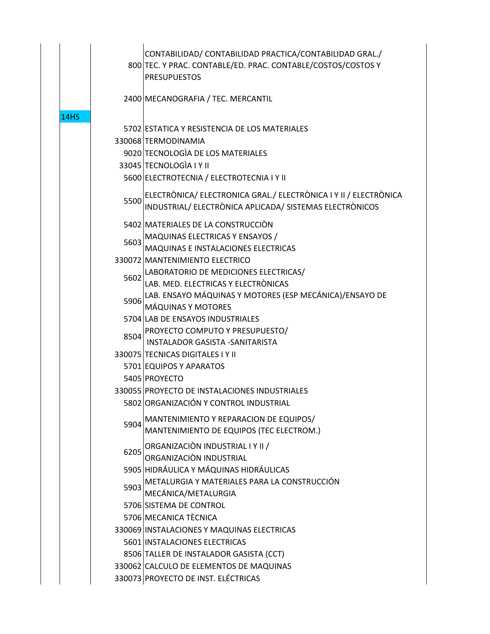|             |      | CONTABILIDAD/ CONTABILIDAD PRACTICA/CONTABILIDAD GRAL./<br>800 TEC. Y PRAC. CONTABLE/ED. PRAC. CONTABLE/COSTOS/COSTOS Y<br><b>PRESUPUESTOS</b> |
|-------------|------|------------------------------------------------------------------------------------------------------------------------------------------------|
|             |      | 2400 MECANOGRAFIA / TEC. MERCANTIL                                                                                                             |
| <b>14HS</b> |      |                                                                                                                                                |
|             |      | 5702 ESTATICA Y RESISTENCIA DE LOS MATERIALES                                                                                                  |
|             |      | 330068 TERMODINAMIA                                                                                                                            |
|             |      | 9020 TECNOLOGIA DE LOS MATERIALES                                                                                                              |
|             |      | 33045 TECNOLOGIA I Y II                                                                                                                        |
|             |      | 5600 ELECTROTECNIA / ELECTROTECNIA I Y II                                                                                                      |
|             | 5500 | ELECTRÒNICA/ ELECTRONICA GRAL./ ELECTRÒNICA I Y II / ELECTRÒNICA<br>INDUSTRIAL/ ELECTRÒNICA APLICADA/ SISTEMAS ELECTRÒNICOS                    |
|             |      | 5402 MATERIALES DE LA CONSTRUCCIÓN                                                                                                             |
|             |      | 5603 MAQUINAS ELECTRICAS Y ENSAYOS /                                                                                                           |
|             |      | MAQUINAS E INSTALACIONES ELECTRICAS                                                                                                            |
|             |      | 330072 MANTENIMIENTO ELECTRICO                                                                                                                 |
|             |      | 5602 LABORATORIO DE MEDICIONES ELECTRICAS/                                                                                                     |
|             |      | LAB. MED. ELECTRICAS Y ELECTRÒNICAS                                                                                                            |
|             | 5906 | LAB. ENSAYO MÁQUINAS Y MOTORES (ESP MECÁNICA)/ENSAYO DE                                                                                        |
|             |      | <b>MÁQUINAS Y MOTORES</b>                                                                                                                      |
|             |      | 5704 LAB DE ENSAYOS INDUSTRIALES                                                                                                               |
|             |      | 8504 PROYECTO COMPUTO Y PRESUPUESTO/<br>INSTALADOR GASISTA - SANITARISTA                                                                       |
|             |      | 330075 TECNICAS DIGITALES I Y II                                                                                                               |
|             |      | 5701 EQUIPOS Y APARATOS                                                                                                                        |
|             |      | 5405 PROYECTO                                                                                                                                  |
|             |      | 330055 PROYECTO DE INSTALACIONES INDUSTRIALES                                                                                                  |
|             |      | 5802 ORGANIZACIÓN Y CONTROL INDUSTRIAL                                                                                                         |
|             |      | MANTENIMIENTO Y REPARACION DE EQUIPOS/                                                                                                         |
|             | 5904 | MANTENIMIENTO DE EQUIPOS (TEC ELECTROM.)                                                                                                       |
|             | 6205 | ORGANIZACIÓN INDUSTRIAL I Y II /<br>ORGANIZACIÒN INDUSTRIAL                                                                                    |
|             |      | 5905 HIDRÁULICA Y MÁQUINAS HIDRÁULICAS                                                                                                         |
|             | 5903 | METALURGIA Y MATERIALES PARA LA CONSTRUCCIÓN<br>MECÁNICA/METALURGIA                                                                            |
|             |      | 5706 SISTEMA DE CONTROL                                                                                                                        |
|             |      | 5706 MECANICA TÈCNICA                                                                                                                          |
|             |      | 330069 INSTALACIONES Y MAQUINAS ELECTRICAS                                                                                                     |
|             |      | 5601 INSTALACIONES ELECTRICAS                                                                                                                  |
|             |      | 8506 TALLER DE INSTALADOR GASISTA (CCT)                                                                                                        |
|             |      | 330062 CALCULO DE ELEMENTOS DE MAQUINAS                                                                                                        |
|             |      | 330073 PROYECTO DE INST. ELÉCTRICAS                                                                                                            |